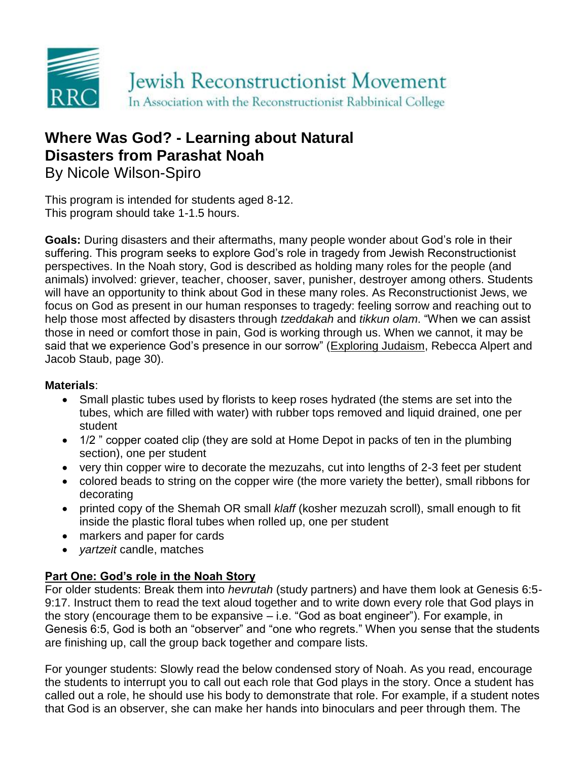

# **Where Was God? - Learning about Natural Disasters from Parashat Noah**

By Nicole Wilson-Spiro

This program is intended for students aged 8-12. This program should take 1-1.5 hours.

**Goals:** During disasters and their aftermaths, many people wonder about God's role in their suffering. This program seeks to explore God's role in tragedy from Jewish Reconstructionist perspectives. In the Noah story, God is described as holding many roles for the people (and animals) involved: griever, teacher, chooser, saver, punisher, destroyer among others. Students will have an opportunity to think about God in these many roles. As Reconstructionist Jews, we focus on God as present in our human responses to tragedy: feeling sorrow and reaching out to help those most affected by disasters through *tzeddakah* and *tikkun olam*. "When we can assist those in need or comfort those in pain, God is working through us. When we cannot, it may be said that we experience God's presence in our sorrow" (Exploring Judaism, Rebecca Alpert and Jacob Staub, page 30).

#### **Materials**:

- Small plastic tubes used by florists to keep roses hydrated (the stems are set into the tubes, which are filled with water) with rubber tops removed and liquid drained, one per student
- 1/2" copper coated clip (they are sold at Home Depot in packs of ten in the plumbing section), one per student
- very thin copper wire to decorate the mezuzahs, cut into lengths of 2-3 feet per student
- colored beads to string on the copper wire (the more variety the better), small ribbons for decorating
- printed copy of the Shemah OR small *klaff* (kosher mezuzah scroll), small enough to fit inside the plastic floral tubes when rolled up, one per student
- markers and paper for cards
- *yartzeit* candle, matches

## **Part One: God's role in the Noah Story**

For older students: Break them into *hevrutah* (study partners) and have them look at Genesis 6:5- 9:17. Instruct them to read the text aloud together and to write down every role that God plays in the story (encourage them to be expansive – i.e. "God as boat engineer"). For example, in Genesis 6:5, God is both an "observer" and "one who regrets." When you sense that the students are finishing up, call the group back together and compare lists.

For younger students: Slowly read the below condensed story of Noah. As you read, encourage the students to interrupt you to call out each role that God plays in the story. Once a student has called out a role, he should use his body to demonstrate that role. For example, if a student notes that God is an observer, she can make her hands into binoculars and peer through them. The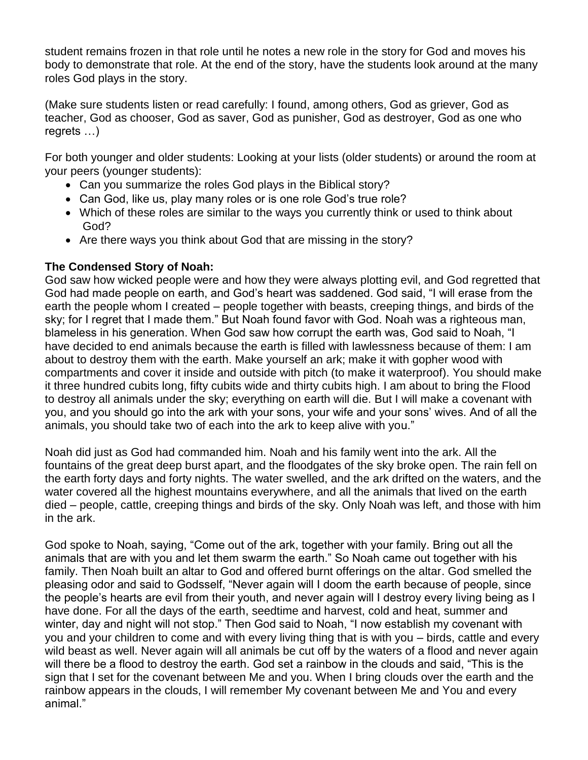student remains frozen in that role until he notes a new role in the story for God and moves his body to demonstrate that role. At the end of the story, have the students look around at the many roles God plays in the story.

(Make sure students listen or read carefully: I found, among others, God as griever, God as teacher, God as chooser, God as saver, God as punisher, God as destroyer, God as one who regrets …)

For both younger and older students: Looking at your lists (older students) or around the room at your peers (younger students):

- Can you summarize the roles God plays in the Biblical story?
- Can God, like us, play many roles or is one role God's true role?
- Which of these roles are similar to the ways you currently think or used to think about God?
- Are there ways you think about God that are missing in the story?

## **The Condensed Story of Noah:**

God saw how wicked people were and how they were always plotting evil, and God regretted that God had made people on earth, and God's heart was saddened. God said, "I will erase from the earth the people whom I created – people together with beasts, creeping things, and birds of the sky; for I regret that I made them." But Noah found favor with God. Noah was a righteous man, blameless in his generation. When God saw how corrupt the earth was, God said to Noah, "I have decided to end animals because the earth is filled with lawlessness because of them: I am about to destroy them with the earth. Make yourself an ark; make it with gopher wood with compartments and cover it inside and outside with pitch (to make it waterproof). You should make it three hundred cubits long, fifty cubits wide and thirty cubits high. I am about to bring the Flood to destroy all animals under the sky; everything on earth will die. But I will make a covenant with you, and you should go into the ark with your sons, your wife and your sons' wives. And of all the animals, you should take two of each into the ark to keep alive with you."

Noah did just as God had commanded him. Noah and his family went into the ark. All the fountains of the great deep burst apart, and the floodgates of the sky broke open. The rain fell on the earth forty days and forty nights. The water swelled, and the ark drifted on the waters, and the water covered all the highest mountains everywhere, and all the animals that lived on the earth died – people, cattle, creeping things and birds of the sky. Only Noah was left, and those with him in the ark.

God spoke to Noah, saying, "Come out of the ark, together with your family. Bring out all the animals that are with you and let them swarm the earth." So Noah came out together with his family. Then Noah built an altar to God and offered burnt offerings on the altar. God smelled the pleasing odor and said to Godsself, "Never again will I doom the earth because of people, since the people's hearts are evil from their youth, and never again will I destroy every living being as I have done. For all the days of the earth, seedtime and harvest, cold and heat, summer and winter, day and night will not stop." Then God said to Noah, "I now establish my covenant with you and your children to come and with every living thing that is with you – birds, cattle and every wild beast as well. Never again will all animals be cut off by the waters of a flood and never again will there be a flood to destroy the earth. God set a rainbow in the clouds and said, "This is the sign that I set for the covenant between Me and you. When I bring clouds over the earth and the rainbow appears in the clouds, I will remember My covenant between Me and You and every animal<sup>"</sup>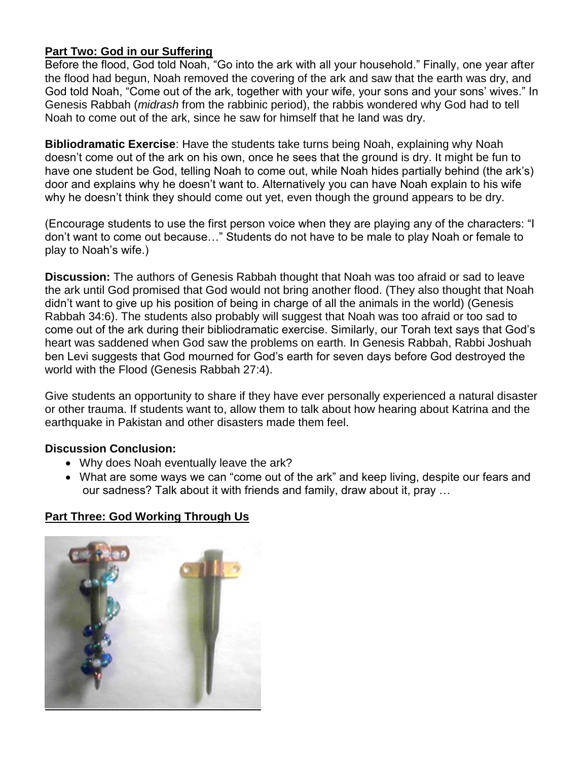### **Part Two: God in our Suffering**

Before the flood, God told Noah, "Go into the ark with all your household." Finally, one year after the flood had begun, Noah removed the covering of the ark and saw that the earth was dry, and God told Noah, "Come out of the ark, together with your wife, your sons and your sons' wives." In Genesis Rabbah (*midrash* from the rabbinic period), the rabbis wondered why God had to tell Noah to come out of the ark, since he saw for himself that he land was dry.

**Bibliodramatic Exercise**: Have the students take turns being Noah, explaining why Noah doesn't come out of the ark on his own, once he sees that the ground is dry. It might be fun to have one student be God, telling Noah to come out, while Noah hides partially behind (the ark's) door and explains why he doesn't want to. Alternatively you can have Noah explain to his wife why he doesn't think they should come out yet, even though the ground appears to be dry.

(Encourage students to use the first person voice when they are playing any of the characters: "I don't want to come out because…" Students do not have to be male to play Noah or female to play to Noah's wife.)

**Discussion:** The authors of Genesis Rabbah thought that Noah was too afraid or sad to leave the ark until God promised that God would not bring another flood. (They also thought that Noah didn't want to give up his position of being in charge of all the animals in the world) (Genesis Rabbah 34:6). The students also probably will suggest that Noah was too afraid or too sad to come out of the ark during their bibliodramatic exercise. Similarly, our Torah text says that God's heart was saddened when God saw the problems on earth. In Genesis Rabbah, Rabbi Joshuah ben Levi suggests that God mourned for God's earth for seven days before God destroyed the world with the Flood (Genesis Rabbah 27:4).

Give students an opportunity to share if they have ever personally experienced a natural disaster or other trauma. If students want to, allow them to talk about how hearing about Katrina and the earthquake in Pakistan and other disasters made them feel.

#### **Discussion Conclusion:**

- Why does Noah eventually leave the ark?
- What are some ways we can "come out of the ark" and keep living, despite our fears and our sadness? Talk about it with friends and family, draw about it, pray …

## **Part Three: God Working Through Us**